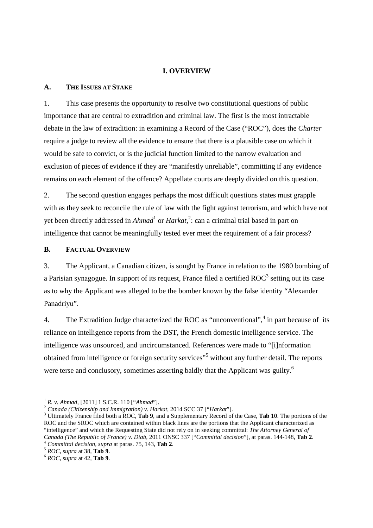# **I. OVERVIEW**

## **A. THE ISSUES AT STAKE**

1. This case presents the opportunity to resolve two constitutional questions of public importance that are central to extradition and criminal law. The first is the most intractable debate in the law of extradition: in examining a Record of the Case ("ROC"), does the *Charter* require a judge to review all the evidence to ensure that there is a plausible case on which it would be safe to convict, or is the judicial function limited to the narrow evaluation and exclusion of pieces of evidence if they are "manifestly unreliable", committing if any evidence remains on each element of the offence? Appellate courts are deeply divided on this question.

2. The second question engages perhaps the most difficult questions states must grapple with as they seek to reconcile the rule of law with the fight against terrorism, and which have not yet been directly addressed in *Ahmad*<sup>1</sup> or *Harkat*,<sup>2</sup>: can a criminal trial based in part on intelligence that cannot be meaningfully tested ever meet the requirement of a fair process?

## **B. FACTUAL OVERVIEW**

3. The Applicant, a Canadian citizen, is sought by France in relation to the 1980 bombing of a Parisian synagogue. In support of its request, France filed a certified  $ROC^3$  setting out its case as to why the Applicant was alleged to be the bomber known by the false identity "Alexander Panadriyu".

4. The Extradition Judge characterized the ROC as "unconventional",<sup>4</sup> in part because of its reliance on intelligence reports from the DST, the French domestic intelligence service. The intelligence was unsourced, and uncircumstanced. References were made to "[i]nformation obtained from intelligence or foreign security services"<sup>5</sup> without any further detail. The reports were terse and conclusory, sometimes asserting baldly that the Applicant was guilty.<sup>6</sup>

<sup>1</sup> *R. v. Ahmad*, [2011] 1 S.C.R. 110 ["*Ahmad*"].

<sup>2</sup> *Canada (Citizenship and Immigration) v. Harkat*, 2014 SCC 37 ["*Harkat*"].

<sup>3</sup> Ultimately France filed both a ROC, **Tab 9**, and a Supplementary Record of the Case, **Tab 10**. The portions of the ROC and the SROC which are contained within black lines are the portions that the Applicant characterized as "intelligence" and which the Requesting State did not rely on in seeking committal: *The Attorney General of Canada (The Republic of France) v. Diab*, 2011 ONSC 337 ["*Committal decision*"], at paras. 144-148, **Tab 2**.

<sup>4</sup> *Committal decision, supra* at paras. 75, 143, **Tab 2**.

<sup>5</sup> *ROC, supra* at 38, **Tab 9**.

<sup>6</sup> *ROC, supra* at 42, **Tab 9**.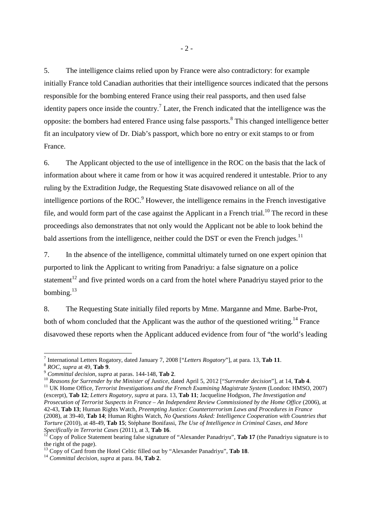5. The intelligence claims relied upon by France were also contradictory: for example initially France told Canadian authorities that their intelligence sources indicated that the persons responsible for the bombing entered France using their real passports, and then used false identity papers once inside the country.<sup>7</sup> Later, the French indicated that the intelligence was the opposite: the bombers had entered France using false passports.<sup>8</sup> This changed intelligence better fit an inculpatory view of Dr. Diab's passport, which bore no entry or exit stamps to or from France.

6. The Applicant objected to the use of intelligence in the ROC on the basis that the lack of information about where it came from or how it was acquired rendered it untestable. Prior to any ruling by the Extradition Judge, the Requesting State disavowed reliance on all of the intelligence portions of the ROC. $9$  However, the intelligence remains in the French investigative file, and would form part of the case against the Applicant in a French trial.<sup>10</sup> The record in these proceedings also demonstrates that not only would the Applicant not be able to look behind the bald assertions from the intelligence, neither could the DST or even the French judges.<sup>11</sup>

7. In the absence of the intelligence, committal ultimately turned on one expert opinion that purported to link the Applicant to writing from Panadriyu: a false signature on a police statement<sup>12</sup> and five printed words on a card from the hotel where Panadriyu stayed prior to the bombing.<sup>13</sup>

8. The Requesting State initially filed reports by Mme. Marganne and Mme. Barbe-Prot, both of whom concluded that the Applicant was the author of the questioned writing.<sup>14</sup> France disavowed these reports when the Applicant adduced evidence from four of "the world's leading

<sup>12</sup> Copy of Police Statement bearing false signature of "Alexander Panadriyu", **Tab 17** (the Panadriyu signature is to the right of the page).

<sup>&</sup>lt;u>.</u> 7 International Letters Rogatory, dated January 7, 2008 ["*Letters Rogatory*"], at para. 13, **Tab 11**.

<sup>8</sup> *ROC, supra* at 49, **Tab 9**.

<sup>9</sup> *Committal decision, supra* at paras. 144-148, **Tab 2**.

<sup>10</sup> *Reasons for Surrender by the Minister of Justice*, dated April 5, 2012 ["*Surrender decision*"], at 14, **Tab 4**.

<sup>&</sup>lt;sup>11</sup> UK Home Office, *Terrorist Investigations and the French Examining Magistrate System* (London: HMSO, 2007) (excerpt), **Tab 12**; *Letters Rogatory, supra* at para. 13, **Tab 11**; Jacqueline Hodgson, *The Investigation and Prosecution of Terrorist Suspects in France – An Independent Review Commissioned by the Home Office* (2006), at

<sup>42-43,</sup> **Tab 13**; Human Rights Watch, *Preempting Justice: Counterterrorism Laws and Procedures in France* (2008), at 39-40, **Tab 14**; Human Rights Watch, *No Questions Asked: Intelligence Cooperation with Countries that Torture* (2010), at 48-49, **Tab 15**; Stéphane Bonifassi, *The Use of Intelligence in Criminal Cases, and More Specifically in Terrorist Cases* (2011), at 3, **Tab 16**.

<sup>13</sup> Copy of Card from the Hotel Celtic filled out by "Alexander Panadriyu", **Tab 18**.

<sup>14</sup> *Committal decision, supra* at para. 84, **Tab 2**.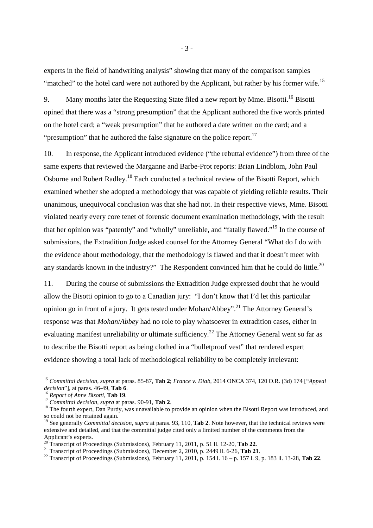experts in the field of handwriting analysis" showing that many of the comparison samples "matched" to the hotel card were not authored by the Applicant, but rather by his former wife.<sup>15</sup>

9. Many months later the Requesting State filed a new report by Mme. Bisotti.<sup>16</sup> Bisotti opined that there was a "strong presumption" that the Applicant authored the five words printed on the hotel card; a "weak presumption" that he authored a date written on the card; and a "presumption" that he authored the false signature on the police report. $17$ 

10. In response, the Applicant introduced evidence ("the rebuttal evidence") from three of the same experts that reviewed the Marganne and Barbe-Prot reports: Brian Lindblom, John Paul Osborne and Robert Radley.<sup>18</sup> Each conducted a technical review of the Bisotti Report, which examined whether she adopted a methodology that was capable of yielding reliable results. Their unanimous, unequivocal conclusion was that she had not. In their respective views, Mme. Bisotti violated nearly every core tenet of forensic document examination methodology, with the result that her opinion was "patently" and "wholly" unreliable, and "fatally flawed."<sup>19</sup> In the course of submissions, the Extradition Judge asked counsel for the Attorney General "What do I do with the evidence about methodology, that the methodology is flawed and that it doesn't meet with any standards known in the industry?" The Respondent convinced him that he could do little.<sup>20</sup>

11. During the course of submissions the Extradition Judge expressed doubt that he would allow the Bisotti opinion to go to a Canadian jury: "I don't know that I'd let this particular opinion go in front of a jury. It gets tested under Mohan/Abbey".<sup>21</sup> The Attorney General's response was that *Mohan*/*Abbey* had no role to play whatsoever in extradition cases, either in evaluating manifest unreliability or ultimate sufficiency.<sup>22</sup> The Attorney General went so far as to describe the Bisotti report as being clothed in a "bulletproof vest" that rendered expert evidence showing a total lack of methodological reliability to be completely irrelevant:

<sup>15</sup> *Committal decision, supra* at paras. 85-87, **Tab 2**; *France v. Diab*, 2014 ONCA 374, 120 O.R. (3d) 174 ["*Appeal decision*"], at paras. 46-49, **Tab 6**.

<sup>16</sup> *Report of Anne Bisotti*, **Tab 19**.

<sup>17</sup> *Committal decision, supra* at paras. 90-91, **Tab 2**.

<sup>&</sup>lt;sup>18</sup> The fourth expert, Dan Purdy, was unavailable to provide an opinion when the Bisotti Report was introduced, and so could not be retained again.

<sup>&</sup>lt;sup>19</sup> See generally *Committal decision, supra* at paras. 93, 110, **Tab 2**. Note however, that the technical reviews were extensive and detailed, and that the committal judge cited only a limited number of the comments from the Applicant's experts.

<sup>20</sup> Transcript of Proceedings (Submissions), February 11, 2011, p. 51 ll. 12-20, **Tab 22**.

<sup>21</sup> Transcript of Proceedings (Submissions), December 2, 2010, p. 2449 ll. 6-26, **Tab 21**.

<sup>22</sup> Transcript of Proceedings (Submissions), February 11, 2011, p. 154 l. 16 – p. 157 l. 9, p. 183 ll. 13-28, **Tab 22**.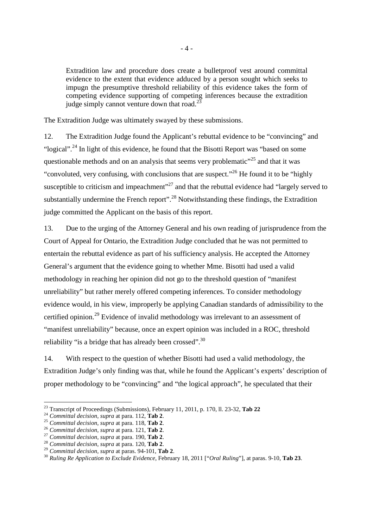Extradition law and procedure does create a bulletproof vest around committal evidence to the extent that evidence adduced by a person sought which seeks to impugn the presumptive threshold reliability of this evidence takes the form of competing evidence supporting of competing inferences because the extradition judge simply cannot venture down that road.<sup>23</sup>

The Extradition Judge was ultimately swayed by these submissions.

12. The Extradition Judge found the Applicant's rebuttal evidence to be "convincing" and "logical".<sup>24</sup> In light of this evidence, he found that the Bisotti Report was "based on some questionable methods and on an analysis that seems very problematic<sup>"25</sup> and that it was "convoluted, very confusing, with conclusions that are suspect."<sup>26</sup> He found it to be "highly" susceptible to criticism and impeachment"<sup>27</sup> and that the rebuttal evidence had "largely served to substantially undermine the French report".<sup>28</sup> Notwithstanding these findings, the Extradition judge committed the Applicant on the basis of this report.

13. Due to the urging of the Attorney General and his own reading of jurisprudence from the Court of Appeal for Ontario, the Extradition Judge concluded that he was not permitted to entertain the rebuttal evidence as part of his sufficiency analysis. He accepted the Attorney General's argument that the evidence going to whether Mme. Bisotti had used a valid methodology in reaching her opinion did not go to the threshold question of "manifest unreliability" but rather merely offered competing inferences. To consider methodology evidence would, in his view, improperly be applying Canadian standards of admissibility to the certified opinion.<sup>29</sup> Evidence of invalid methodology was irrelevant to an assessment of "manifest unreliability" because, once an expert opinion was included in a ROC, threshold reliability "is a bridge that has already been crossed".<sup>30</sup>

14. With respect to the question of whether Bisotti had used a valid methodology, the Extradition Judge's only finding was that, while he found the Applicant's experts' description of proper methodology to be "convincing" and "the logical approach", he speculated that their

<sup>23</sup> Transcript of Proceedings (Submissions), February 11, 2011, p. 170, ll. 23-32, **Tab 22**

<sup>24</sup> *Committal decision, supra* at para. 112, **Tab 2**.

<sup>25</sup> *Committal decision, supra* at para. 118, **Tab 2**.

<sup>26</sup> *Committal decision, supra* at para. 121, **Tab 2**.

<sup>27</sup> *Committal decision, supra* at para. 190, **Tab 2**.

<sup>28</sup> *Committal decision, supra* at para. 120, **Tab 2**.

<sup>29</sup> *Committal decision, supra* at paras. 94-101, **Tab 2**.

<sup>30</sup> *Ruling Re Application to Exclude Evidence*, February 18, 2011 ["*Oral Ruling*"], at paras. 9-10, **Tab 23**.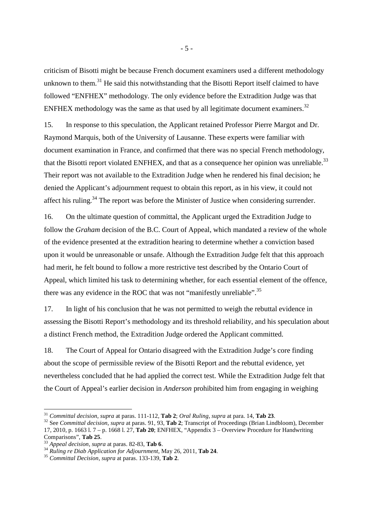criticism of Bisotti might be because French document examiners used a different methodology unknown to them.<sup>31</sup> He said this notwithstanding that the Bisotti Report itself claimed to have followed "ENFHEX" methodology. The only evidence before the Extradition Judge was that ENFHEX methodology was the same as that used by all legitimate document examiners.<sup>32</sup>

15. In response to this speculation, the Applicant retained Professor Pierre Margot and Dr. Raymond Marquis, both of the University of Lausanne. These experts were familiar with document examination in France, and confirmed that there was no special French methodology, that the Bisotti report violated ENFHEX, and that as a consequence her opinion was unreliable.<sup>33</sup> Their report was not available to the Extradition Judge when he rendered his final decision; he denied the Applicant's adjournment request to obtain this report, as in his view, it could not affect his ruling.<sup>34</sup> The report was before the Minister of Justice when considering surrender.

16. On the ultimate question of committal, the Applicant urged the Extradition Judge to follow the *Graham* decision of the B.C. Court of Appeal, which mandated a review of the whole of the evidence presented at the extradition hearing to determine whether a conviction based upon it would be unreasonable or unsafe. Although the Extradition Judge felt that this approach had merit, he felt bound to follow a more restrictive test described by the Ontario Court of Appeal, which limited his task to determining whether, for each essential element of the offence, there was any evidence in the ROC that was not "manifestly unreliable".<sup>35</sup>

17. In light of his conclusion that he was not permitted to weigh the rebuttal evidence in assessing the Bisotti Report's methodology and its threshold reliability, and his speculation about a distinct French method, the Extradition Judge ordered the Applicant committed.

18. The Court of Appeal for Ontario disagreed with the Extradition Judge's core finding about the scope of permissible review of the Bisotti Report and the rebuttal evidence, yet nevertheless concluded that he had applied the correct test. While the Extradition Judge felt that the Court of Appeal's earlier decision in *Anderson* prohibited him from engaging in weighing

<sup>31</sup> *Committal decision, supra* at paras. 111-112, **Tab 2**; *Oral Ruling, supra* at para. 14, **Tab 23**.

<sup>32</sup> See *Committal decision, supra* at paras. 91, 93, **Tab 2**; Transcript of Proceedings (Brian Lindbloom), December 17, 2010, p. 1663 l. 7 – p. 1668 l. 27, **Tab 20**; ENFHEX, "Appendix 3 – Overview Procedure for Handwriting Comparisons", **Tab 25**.

<sup>33</sup> *Appeal decision, supra* at paras. 82-83, **Tab 6**.

<sup>34</sup> *Ruling re Diab Application for Adjournment*, May 26, 2011, **Tab 24**.

<sup>35</sup> *Committal Decision, supra* at paras. 133-139, **Tab 2**.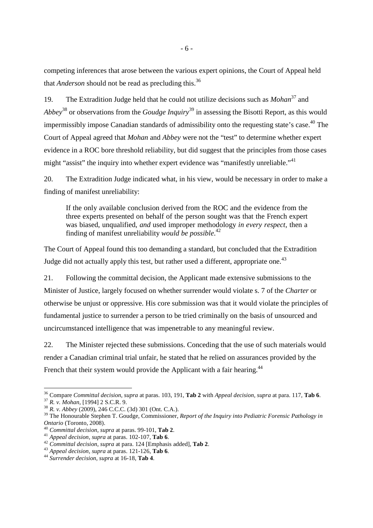competing inferences that arose between the various expert opinions, the Court of Appeal held that *Anderson* should not be read as precluding this.<sup>36</sup>

19. The Extradition Judge held that he could not utilize decisions such as *Mohan*<sup>37</sup> and *Abbey*<sup>38</sup> or observations from the *Goudge Inquiry*<sup>39</sup> in assessing the Bisotti Report, as this would impermissibly impose Canadian standards of admissibility onto the requesting state's case.<sup>40</sup> The Court of Appeal agreed that *Mohan* and *Abbey* were not the "test" to determine whether expert evidence in a ROC bore threshold reliability, but did suggest that the principles from those cases might "assist" the inquiry into whether expert evidence was "manifestly unreliable."<sup>41</sup>

20. The Extradition Judge indicated what, in his view, would be necessary in order to make a finding of manifest unreliability:

If the only available conclusion derived from the ROC and the evidence from the three experts presented on behalf of the person sought was that the French expert was biased, unqualified, *and* used improper methodology *in every respect*, then a finding of manifest unreliability *would be possible*. 42

The Court of Appeal found this too demanding a standard, but concluded that the Extradition Judge did not actually apply this test, but rather used a different, appropriate one.<sup>43</sup>

21. Following the committal decision, the Applicant made extensive submissions to the Minister of Justice, largely focused on whether surrender would violate s. 7 of the *Charter* or otherwise be unjust or oppressive. His core submission was that it would violate the principles of fundamental justice to surrender a person to be tried criminally on the basis of unsourced and uncircumstanced intelligence that was impenetrable to any meaningful review.

22. The Minister rejected these submissions. Conceding that the use of such materials would render a Canadian criminal trial unfair, he stated that he relied on assurances provided by the French that their system would provide the Applicant with a fair hearing.<sup>44</sup>

<sup>36</sup> Compare *Committal decision, supra* at paras. 103, 191, **Tab 2** with *Appeal decision, supra* at para. 117, **Tab 6**. <sup>37</sup> *R. v. Mohan*, [1994] 2 S.C.R. 9.

<sup>38</sup> *R. v. Abbey* (2009), 246 C.C.C. (3d) 301 (Ont. C.A.).

<sup>&</sup>lt;sup>39</sup> The Honourable Stephen T. Goudge, Commissioner, *Report of the Inquiry into Pediatric Forensic Pathology in Ontario* (Toronto, 2008).

<sup>40</sup> *Committal decision, supra* at paras. 99-101, **Tab 2**.

<sup>41</sup> *Appeal decision, supra* at paras. 102-107, **Tab 6**.

<sup>42</sup> *Committal decision, supra* at para. 124 [Emphasis added], **Tab 2**.

<sup>43</sup> *Appeal decision, supra* at paras. 121-126, **Tab 6**.

<sup>44</sup> *Surrender decision, supra* at 16-18, **Tab 4**.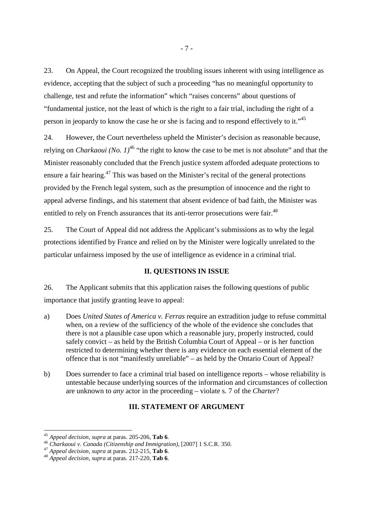23. On Appeal, the Court recognized the troubling issues inherent with using intelligence as evidence, accepting that the subject of such a proceeding "has no meaningful opportunity to challenge, test and refute the information" which "raises concerns" about questions of "fundamental justice, not the least of which is the right to a fair trial, including the right of a person in jeopardy to know the case he or she is facing and to respond effectively to it."<sup>45</sup>

24. However, the Court nevertheless upheld the Minister's decision as reasonable because, relying on *Charkaoui (No. 1)*<sup>46</sup> "the right to know the case to be met is not absolute" and that the Minister reasonably concluded that the French justice system afforded adequate protections to ensure a fair hearing.<sup>47</sup> This was based on the Minister's recital of the general protections provided by the French legal system, such as the presumption of innocence and the right to appeal adverse findings, and his statement that absent evidence of bad faith, the Minister was entitled to rely on French assurances that its anti-terror prosecutions were fair.<sup>48</sup>

25. The Court of Appeal did not address the Applicant's submissions as to why the legal protections identified by France and relied on by the Minister were logically unrelated to the particular unfairness imposed by the use of intelligence as evidence in a criminal trial.

### **II. QUESTIONS IN ISSUE**

26. The Applicant submits that this application raises the following questions of public importance that justify granting leave to appeal:

- a) Does *United States of America v. Ferras* require an extradition judge to refuse committal when, on a review of the sufficiency of the whole of the evidence she concludes that there is not a plausible case upon which a reasonable jury, properly instructed, could safely convict – as held by the British Columbia Court of Appeal – or is her function restricted to determining whether there is any evidence on each essential element of the offence that is not "manifestly unreliable" – as held by the Ontario Court of Appeal?
- b) Does surrender to face a criminal trial based on intelligence reports whose reliability is untestable because underlying sources of the information and circumstances of collection are unknown to *any* actor in the proceeding – violate s. 7 of the *Charter*?

## **III. STATEMENT OF ARGUMENT**

<sup>45</sup> *Appeal decision, supra* at paras. 205-206, **Tab 6**.

<sup>46</sup> *Charkaoui v. Canada (Citizenship and Immigration)*, [2007] 1 S.C.R. 350.

<sup>47</sup> *Appeal decision, supra* at paras. 212-215, **Tab 6**.

<sup>48</sup> *Appeal decision, supra* at paras. 217-220, **Tab 6**.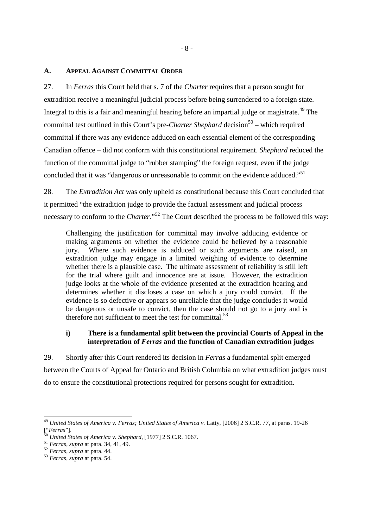#### **A. APPEAL AGAINST COMMITTAL ORDER**

27. In *Ferras* this Court held that s. 7 of the *Charter* requires that a person sought for extradition receive a meaningful judicial process before being surrendered to a foreign state. Integral to this is a fair and meaningful hearing before an impartial judge or magistrate.<sup> $49$ </sup> The committal test outlined in this Court's pre-*Charter Shephard* decision<sup>50</sup> – which required committal if there was any evidence adduced on each essential element of the corresponding Canadian offence – did not conform with this constitutional requirement. *Shephard* reduced the function of the committal judge to "rubber stamping" the foreign request, even if the judge concluded that it was "dangerous or unreasonable to commit on the evidence adduced."<sup>51</sup>

28. The *Extradition Act* was only upheld as constitutional because this Court concluded that it permitted "the extradition judge to provide the factual assessment and judicial process necessary to conform to the *Charter*."<sup>52</sup> The Court described the process to be followed this way:

Challenging the justification for committal may involve adducing evidence or making arguments on whether the evidence could be believed by a reasonable jury. Where such evidence is adduced or such arguments are raised, an extradition judge may engage in a limited weighing of evidence to determine whether there is a plausible case. The ultimate assessment of reliability is still left for the trial where guilt and innocence are at issue. However, the extradition judge looks at the whole of the evidence presented at the extradition hearing and determines whether it discloses a case on which a jury could convict. If the evidence is so defective or appears so unreliable that the judge concludes it would be dangerous or unsafe to convict, then the case should not go to a jury and is therefore not sufficient to meet the test for committal. $53$ 

# **i) There is a fundamental split between the provincial Courts of Appeal in the interpretation of** *Ferras* **and the function of Canadian extradition judges**

29. Shortly after this Court rendered its decision in *Ferras* a fundamental split emerged between the Courts of Appeal for Ontario and British Columbia on what extradition judges must do to ensure the constitutional protections required for persons sought for extradition.

<sup>&</sup>lt;sup>49</sup> *United States of America v. Ferras; United States of America v. Latty, [2006] 2 S.C.R. 77, at paras. 19-26* ["*Ferras*"].

<sup>50</sup> *United States of America v. Shephard*, [1977] 2 S.C.R. 1067.

<sup>51</sup> *Ferras, supra* at para. 34, 41, 49.

<sup>52</sup> *Ferras, supra* at para. 44.

<sup>53</sup> *Ferras, supra* at para. 54.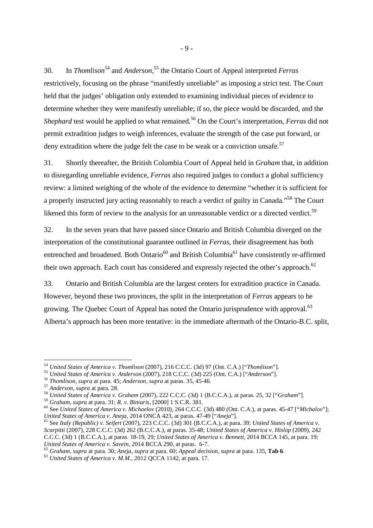30. In *Thomlison*<sup>54</sup> and *Anderson*, <sup>55</sup> the Ontario Court of Appeal interpreted *Ferras* restrictively, focusing on the phrase "manifestly unreliable" as imposing a strict test. The Court held that the judges' obligation only extended to examining individual pieces of evidence to determine whether they were manifestly unreliable; if so, the piece would be discarded, and the *Shephard* test would be applied to what remained.<sup>56</sup> On the Court's interpretation, *Ferras* did not permit extradition judges to weigh inferences, evaluate the strength of the case put forward, or deny extradition where the judge felt the case to be weak or a conviction unsafe.<sup>57</sup>

31. Shortly thereafter, the British Columbia Court of Appeal held in *Graham* that, in addition to disregarding unreliable evidence, *Ferras* also required judges to conduct a global sufficiency review: a limited weighing of the whole of the evidence to determine "whether it is sufficient for a properly instructed jury acting reasonably to reach a verdict of guilty in Canada."<sup>58</sup> The Court likened this form of review to the analysis for an unreasonable verdict or a directed verdict.<sup>59</sup>

32. In the seven years that have passed since Ontario and British Columbia diverged on the interpretation of the constitutional guarantee outlined in *Ferras*, their disagreement has both entrenched and broadened. Both Ontario<sup>60</sup> and British Columbia<sup>61</sup> have consistently re-affirmed their own approach. Each court has considered and expressly rejected the other's approach.<sup>62</sup>

33. Ontario and British Columbia are the largest centers for extradition practice in Canada. However, beyond these two provinces, the split in the interpretation of *Ferras* appears to be growing. The Quebec Court of Appeal has noted the Ontario jurisprudence with approval.<sup>63</sup> Alberta's approach has been more tentative: in the immediate aftermath of the Ontario-B.C. split,

-

<sup>59</sup> *Graham, supra* at para. 31; *R. v. Biniaris*, [2000] 1 S.C.R. 381.

<sup>54</sup> *United States of America v. Thomlison* (2007), 216 C.C.C. (3d) 97 (Ont. C.A.) ["*Thomlison*"].

<sup>55</sup> *United States of America v. Anderson* (2007), 218 C.C.C. (3d) 225 (Ont. C.A.) ["*Anderson*"].

<sup>56</sup> *Thomlison, supra* at para. 45; *Anderson, supra* at paras. 35, 45-46.

<sup>57</sup> *Anderson, supra* at para. 28.

<sup>58</sup> *United States of America v. Graham* (2007), 222 C.C.C. (3d) 1 (B.C.C.A.), at paras. 25, 32 ["*Graham*"].

<sup>60</sup> See *United States of America v. Michaelov* (2010), 264 C.C.C. (3d) 480 (Ont. C.A.), at paras. 45-47 ["*Michalov*"]; *United States of America v. Aneja*, 2014 ONCA 423, at paras. 47-49 ["*Aneja*"].

<sup>61</sup> See *Italy (Republic) v. Seifert* (2007), 223 C.C.C. (3d) 301 (B.C.C.A.), at para. 39; *United States of America v. Scarpitti* (2007), 228 C.C.C. (3d) 262 (B.C.C.A.), at paras. 35-48; *United States of America v. Hislop* (2009), 242 C.C.C. (3d) 1 (B.C.C.A.), at paras. 18-19, 29; *United States of America v. Bennett*, 2014 BCCA 145, at para. 19; *United States of America v. Savein*, 2014 BCCA 290, at paras. 6-7.

<sup>62</sup> *Graham, supra* at para. 30; *Aneja, supra* at para. 60; *Appeal decision, supra* at para. 135, **Tab 6**.

<sup>63</sup> *United States of America v. M.M.*, 2012 QCCA 1142, at para. 17.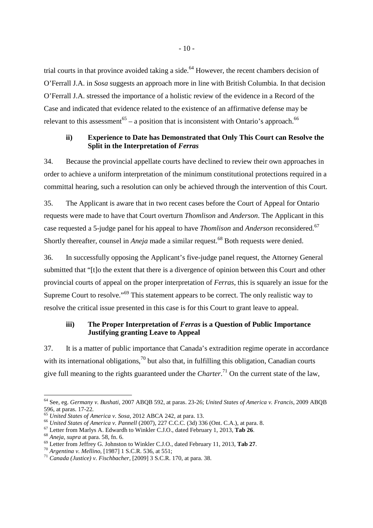trial courts in that province avoided taking a side.<sup>64</sup> However, the recent chambers decision of O'Ferrall J.A. in *Sosa* suggests an approach more in line with British Columbia. In that decision O'Ferrall J.A. stressed the importance of a holistic review of the evidence in a Record of the Case and indicated that evidence related to the existence of an affirmative defense may be relevant to this assessment<sup>65</sup> – a position that is inconsistent with Ontario's approach.<sup>66</sup>

## **ii) Experience to Date has Demonstrated that Only This Court can Resolve the Split in the Interpretation of** *Ferras*

34. Because the provincial appellate courts have declined to review their own approaches in order to achieve a uniform interpretation of the minimum constitutional protections required in a committal hearing, such a resolution can only be achieved through the intervention of this Court.

35. The Applicant is aware that in two recent cases before the Court of Appeal for Ontario requests were made to have that Court overturn *Thomlison* and *Anderson*. The Applicant in this case requested a 5-judge panel for his appeal to have *Thomlison* and *Anderson* reconsidered.<sup>67</sup> Shortly thereafter, counsel in *Aneja* made a similar request.<sup>68</sup> Both requests were denied.

36. In successfully opposing the Applicant's five-judge panel request, the Attorney General submitted that "[t]o the extent that there is a divergence of opinion between this Court and other provincial courts of appeal on the proper interpretation of *Ferras*, this is squarely an issue for the Supreme Court to resolve."<sup>69</sup> This statement appears to be correct. The only realistic way to resolve the critical issue presented in this case is for this Court to grant leave to appeal.

### **iii) The Proper Interpretation of** *Ferras* **is a Question of Public Importance Justifying granting Leave to Appeal**

37. It is a matter of public importance that Canada's extradition regime operate in accordance with its international obligations,  $70$  but also that, in fulfilling this obligation, Canadian courts give full meaning to the rights guaranteed under the *Charter*. <sup>71</sup> On the current state of the law,

<sup>64</sup> See, eg. *Germany v. Bushati*, 2007 ABQB 592, at paras. 23-26; *United States of America v. Francis*, 2009 ABQB 596, at paras. 17-22.

<sup>65</sup> *United States of America v. Sosa*, 2012 ABCA 242, at para. 13.

<sup>66</sup> *United States of America v. Pannell* (2007), 227 C.C.C. (3d) 336 (Ont. C.A.), at para. 8.

<sup>67</sup> Letter from Marlys A. Edwardh to Winkler C.J.O., dated February 1, 2013, **Tab 26**.

<sup>68</sup> *Aneja, supra* at para. 58, fn. 6.

<sup>69</sup> Letter from Jeffrey G. Johnston to Winkler C.J.O., dated February 11, 2013, **Tab 27**.

<sup>70</sup> *Argentina v. Mellino*, [1987] 1 S.C.R. 536, at 551;

<sup>71</sup> *Canada (Justice) v. Fischbacher*, [2009] 3 S.C.R. 170, at para. 38.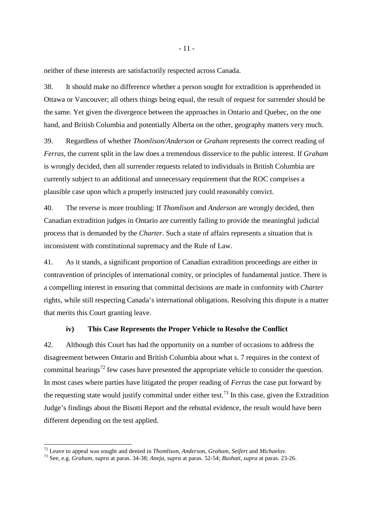neither of these interests are satisfactorily respected across Canada.

38. It should make no difference whether a person sought for extradition is apprehended in Ottawa or Vancouver; all others things being equal, the result of request for surrender should be the same. Yet given the divergence between the approaches in Ontario and Quebec, on the one hand, and British Columbia and potentially Alberta on the other, geography matters very much.

39. Regardless of whether *Thomlison/Anderson* or *Graham* represents the correct reading of *Ferras*, the current split in the law does a tremendous disservice to the public interest. If *Graham* is wrongly decided, then all surrender requests related to individuals in British Columbia are currently subject to an additional and unnecessary requirement that the ROC comprises a plausible case upon which a properly instructed jury could reasonably convict.

40. The reverse is more troubling: If *Thomlison* and *Anderson* are wrongly decided, then Canadian extradition judges in Ontario are currently failing to provide the meaningful judicial process that is demanded by the *Charter*. Such a state of affairs represents a situation that is inconsistent with constitutional supremacy and the Rule of Law.

41. As it stands, a significant proportion of Canadian extradition proceedings are either in contravention of principles of international comity, or principles of fundamental justice. There is a compelling interest in ensuring that committal decisions are made in conformity with *Charter* rights, while still respecting Canada's international obligations. Resolving this dispute is a matter that merits this Court granting leave.

#### **iv) This Case Represents the Proper Vehicle to Resolve the Conflict**

42. Although this Court has had the opportunity on a number of occasions to address the disagreement between Ontario and British Columbia about what s. 7 requires in the context of committal hearings<sup>72</sup> few cases have presented the appropriate vehicle to consider the question. In most cases where parties have litigated the proper reading of *Ferras* the case put forward by the requesting state would justify committal under either test.<sup>73</sup> In this case, given the Extradition Judge's findings about the Bisotti Report and the rebuttal evidence, the result would have been different depending on the test applied.

<u>.</u>

<sup>72</sup> Leave to appeal was sought and denied in *Thomlison*, *Anderson*, *Graham*, *Seifert* and *Michaelov*.

<sup>73</sup> See, e.g. *Graham, supra* at paras. 34-38; *Aneja, supra* at paras. 52-54; *Bushati, supra* at paras. 23-26.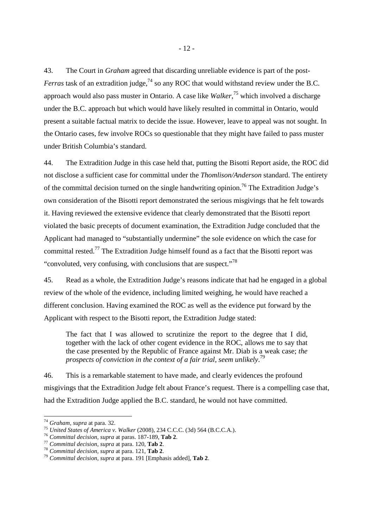43. The Court in *Graham* agreed that discarding unreliable evidence is part of the post-*Ferras* task of an extradition judge,<sup>74</sup> so any ROC that would withstand review under the B.C. approach would also pass muster in Ontario. A case like *Walker*, <sup>75</sup> which involved a discharge under the B.C. approach but which would have likely resulted in committal in Ontario, would present a suitable factual matrix to decide the issue. However, leave to appeal was not sought. In the Ontario cases, few involve ROCs so questionable that they might have failed to pass muster under British Columbia's standard.

44. The Extradition Judge in this case held that, putting the Bisotti Report aside, the ROC did not disclose a sufficient case for committal under the *Thomlison/Anderson* standard. The entirety of the committal decision turned on the single handwriting opinion.<sup>76</sup> The Extradition Judge's own consideration of the Bisotti report demonstrated the serious misgivings that he felt towards it. Having reviewed the extensive evidence that clearly demonstrated that the Bisotti report violated the basic precepts of document examination, the Extradition Judge concluded that the Applicant had managed to "substantially undermine" the sole evidence on which the case for committal rested.<sup>77</sup> The Extradition Judge himself found as a fact that the Bisotti report was "convoluted, very confusing, with conclusions that are suspect."<sup>78</sup>

45. Read as a whole, the Extradition Judge's reasons indicate that had he engaged in a global review of the whole of the evidence, including limited weighing, he would have reached a different conclusion. Having examined the ROC as well as the evidence put forward by the Applicant with respect to the Bisotti report, the Extradition Judge stated:

The fact that I was allowed to scrutinize the report to the degree that I did, together with the lack of other cogent evidence in the ROC, allows me to say that the case presented by the Republic of France against Mr. Diab is a weak case; *the prospects of conviction in the context of a fair trial, seem unlikely*. 79

46. This is a remarkable statement to have made, and clearly evidences the profound misgivings that the Extradition Judge felt about France's request. There is a compelling case that, had the Extradition Judge applied the B.C. standard, he would not have committed.

<sup>74</sup> *Graham, supra* at para. 32.

<sup>75</sup> *United States of America v. Walker* (2008), 234 C.C.C. (3d) 564 (B.C.C.A.).

<sup>76</sup> *Committal decision, supra* at paras. 187-189, **Tab 2**.

<sup>77</sup> *Committal decision, supra* at para. 120, **Tab 2**.

<sup>78</sup> *Committal decision, supra* at para. 121, **Tab 2**.

<sup>79</sup> *Committal decision, supra* at para. 191 [Emphasis added], **Tab 2**.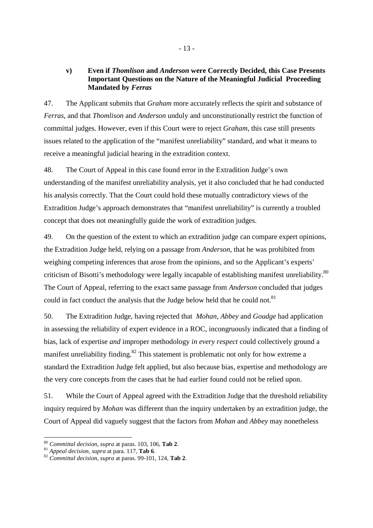#### **v) Even if** *Thomlison* **and** *Anderson* **were Correctly Decided, this Case Presents Important Questions on the Nature of the Meaningful Judicial Proceeding Mandated by** *Ferras*

47. The Applicant submits that *Graham* more accurately reflects the spirit and substance of *Ferras*, and that *Thomlison* and *Anderson* unduly and unconstitutionally restrict the function of committal judges. However, even if this Court were to reject *Graham*, this case still presents issues related to the application of the "manifest unreliability" standard, and what it means to receive a meaningful judicial hearing in the extradition context.

48. The Court of Appeal in this case found error in the Extradition Judge's own understanding of the manifest unreliability analysis, yet it also concluded that he had conducted his analysis correctly. That the Court could hold these mutually contradictory views of the Extradition Judge's approach demonstrates that "manifest unreliability" is currently a troubled concept that does not meaningfully guide the work of extradition judges.

49. On the question of the extent to which an extradition judge can compare expert opinions, the Extradition Judge held, relying on a passage from *Anderson*, that he was prohibited from weighing competing inferences that arose from the opinions, and so the Applicant's experts' criticism of Bisotti's methodology were legally incapable of establishing manifest unreliability.<sup>80</sup> The Court of Appeal, referring to the exact same passage from *Anderson* concluded that judges could in fact conduct the analysis that the Judge below held that he could not.<sup>81</sup>

50. The Extradition Judge, having rejected that *Mohan*, *Abbey* and *Goudge* had application in assessing the reliability of expert evidence in a ROC, incongruously indicated that a finding of bias, lack of expertise *and* improper methodology *in every respect* could collectively ground a manifest unreliability finding.<sup>82</sup> This statement is problematic not only for how extreme a standard the Extradition Judge felt applied, but also because bias, expertise and methodology are the very core concepts from the cases that he had earlier found could not be relied upon.

51. While the Court of Appeal agreed with the Extradition Judge that the threshold reliability inquiry required by *Mohan* was different than the inquiry undertaken by an extradition judge, the Court of Appeal did vaguely suggest that the factors from *Mohan* and *Abbey* may nonetheless

<sup>-</sup><sup>80</sup> *Committal decision, supra* at paras. 103, 106, **Tab 2**.

<sup>81</sup> *Appeal decision, supra* at para. 117, **Tab 6**.

<sup>82</sup> *Committal decision, supra* at paras. 99-101, 124, **Tab 2**.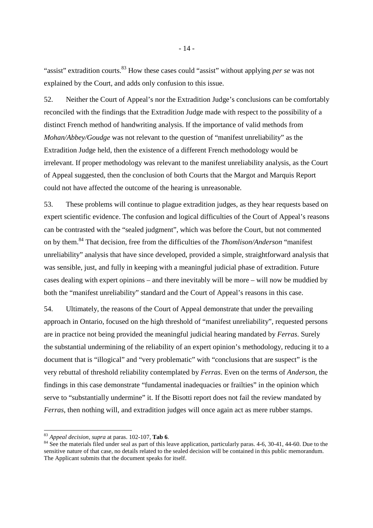"assist" extradition courts.<sup>83</sup> How these cases could "assist" without applying *per se* was not explained by the Court, and adds only confusion to this issue.

52. Neither the Court of Appeal's nor the Extradition Judge's conclusions can be comfortably reconciled with the findings that the Extradition Judge made with respect to the possibility of a distinct French method of handwriting analysis. If the importance of valid methods from *Mohan/Abbey/Goudge* was not relevant to the question of "manifest unreliability" as the Extradition Judge held, then the existence of a different French methodology would be irrelevant. If proper methodology was relevant to the manifest unreliability analysis, as the Court of Appeal suggested, then the conclusion of both Courts that the Margot and Marquis Report could not have affected the outcome of the hearing is unreasonable.

53. These problems will continue to plague extradition judges, as they hear requests based on expert scientific evidence. The confusion and logical difficulties of the Court of Appeal's reasons can be contrasted with the "sealed judgment", which was before the Court, but not commented on by them.<sup>84</sup> That decision, free from the difficulties of the *Thomlison/Anderson* "manifest unreliability" analysis that have since developed, provided a simple, straightforward analysis that was sensible, just, and fully in keeping with a meaningful judicial phase of extradition. Future cases dealing with expert opinions – and there inevitably will be more – will now be muddied by both the "manifest unreliability" standard and the Court of Appeal's reasons in this case.

54. Ultimately, the reasons of the Court of Appeal demonstrate that under the prevailing approach in Ontario, focused on the high threshold of "manifest unreliability", requested persons are in practice not being provided the meaningful judicial hearing mandated by *Ferras*. Surely the substantial undermining of the reliability of an expert opinion's methodology, reducing it to a document that is "illogical" and "very problematic" with "conclusions that are suspect" is the very rebuttal of threshold reliability contemplated by *Ferras*. Even on the terms of *Anderson*, the findings in this case demonstrate "fundamental inadequacies or frailties" in the opinion which serve to "substantially undermine" it. If the Bisotti report does not fail the review mandated by *Ferras*, then nothing will, and extradition judges will once again act as mere rubber stamps.

<sup>83</sup> *Appeal decision, supra* at paras. 102-107, **Tab 6**.

<sup>&</sup>lt;sup>84</sup> See the materials filed under seal as part of this leave application, particularly paras. 4-6, 30-41, 44-60. Due to the sensitive nature of that case, no details related to the sealed decision will be contained in this public memorandum. The Applicant submits that the document speaks for itself.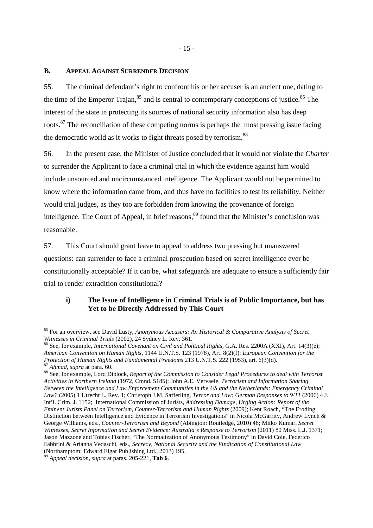#### **B. APPEAL AGAINST SURRENDER DECISION**

55. The criminal defendant's right to confront his or her accuser is an ancient one, dating to the time of the Emperor Trajan,  $85$  and is central to contemporary conceptions of justice.  $86$  The interest of the state in protecting its sources of national security information also has deep roots.<sup>87</sup> The reconciliation of these competing norms is perhaps the most pressing issue facing the democratic world as it works to fight threats posed by terrorism.<sup>88</sup>

56. In the present case, the Minister of Justice concluded that it would not violate the *Charter* to surrender the Applicant to face a criminal trial in which the evidence against him would include unsourced and uncircumstanced intelligence. The Applicant would not be permitted to know where the information came from, and thus have no facilities to test its reliability. Neither would trial judges, as they too are forbidden from knowing the provenance of foreign intelligence. The Court of Appeal, in brief reasons, <sup>89</sup> found that the Minister's conclusion was reasonable.

57. This Court should grant leave to appeal to address two pressing but unanswered questions: can surrender to face a criminal prosecution based on secret intelligence ever be constitutionally acceptable? If it can be, what safeguards are adequate to ensure a sufficiently fair trial to render extradition constitutional?

# **i) The Issue of Intelligence in Criminal Trials is of Public Importance, but has Yet to be Directly Addressed by This Court**

<sup>86</sup> See, for example, *International Covenant on Civil and Political Rights*, G.A. Res. 2200A (XXI), Art. 14(3)(e); *American Convention on Human Rights*, 1144 U.N.T.S. 123 (1978), Art. 8(2)(f); *European Convention for the Protection of Human Rights and Fundamental Freedoms* 213 U.N.T.S. 222 (1953), art. 6(3)(d). <sup>87</sup> *Ahmad*, *supra* at para. 60.

<sup>88</sup> See, for example, Lord Diplock, *Report of the Commission to Consider Legal Procedures to deal with Terrorist Activities in Northern Ireland* (1972, Cmnd. 5185); John A.E. Vervaele, *Terrorism and Information Sharing Between the Intelligence and Law Enforcement Communities in the US and the Netherlands: Emergency Criminal Law?* (2005) 1 Utrecht L. Rev. 1; Christoph J.M. Safferling, *Terror and Law: German Responses to 9/11* (2006) 4 J. Int'l. Crim. J. 1152; International Commission of Jurists, *Addressing Damage, Urging Action: Report of the Eminent Jurists Panel on Terrorism, Counter-Terrorism and Human Rights* (2009); Kent Roach, "The Eroding Distinction between Intelligence and Evidence in Terrorism Investigations" in Nicola McGarrity, Andrew Lynch & George Williams, eds., *Counter-Terrorism and Beyond* (Abington: Routledge, 2010) 48; Miiko Kumar, *Secret Witnesses, Secret Information and Secret Evidence: Australia's Response to Terrorism* (2011) 80 Miss. L.J. 1371; Jason Mazzone and Tobias Fischer, "The Normalization of Anonymous Testimony" in David Cole, Federico Fabbrini & Arianna Vedaschi, eds., *Secrecy, National Security and the Vindication of Constitutional Law* (Northamptom: Edward Elgar Publishing Ltd., 2013) 195.

<sup>85</sup> For an overview, see David Lusty, *Anonymous Accusers: An Historical & Comparative Analysis of Secret Witnesses in Criminal Trials* (2002), 24 Sydney L. Rev. 361.

<sup>89</sup> *Appeal decision, supra* at paras. 205-221, **Tab 6**.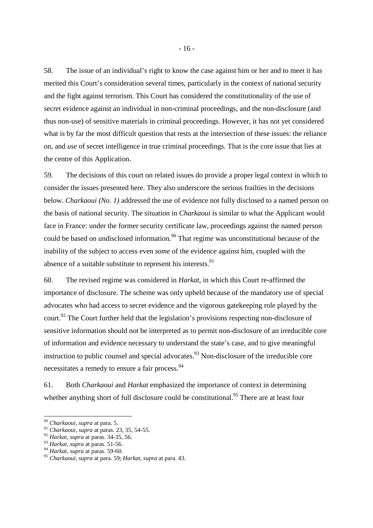58. The issue of an individual's right to know the case against him or her and to meet it has merited this Court's consideration several times, particularly in the context of national security and the fight against terrorism. This Court has considered the constitutionality of the use of secret evidence against an individual in non-criminal proceedings, and the non-disclosure (and thus non-use) of sensitive materials in criminal proceedings. However, it has not yet considered what is by far the most difficult question that rests at the intersection of these issues: the reliance on, and *use* of secret intelligence in true criminal proceedings. That is the core issue that lies at the centre of this Application.

59. The decisions of this court on related issues do provide a proper legal context in which to consider the issues presented here. They also underscore the serious frailties in the decisions below. *Charkaoui (No. 1)* addressed the use of evidence not fully disclosed to a named person on the basis of national security. The situation in *Charkaoui* is similar to what the Applicant would face in France: under the former security certificate law, proceedings against the named person could be based on undisclosed information.<sup>90</sup> That regime was unconstitutional because of the inability of the subject to access even *some* of the evidence against him, coupled with the absence of a suitable substitute to represent his interests.<sup>91</sup>

60. The revised regime was considered in *Harkat*, in which this Court re-affirmed the importance of disclosure. The scheme was only upheld because of the mandatory use of special advocates who had access to secret evidence and the vigorous gatekeeping role played by the court.<sup>92</sup> The Court further held that the legislation's provisions respecting non-disclosure of sensitive information should not be interpreted as to permit non-disclosure of an irreducible core of information and evidence necessary to understand the state's case, and to give meaningful instruction to public counsel and special advocates.<sup>93</sup> Non-disclosure of the irreducible core necessitates a remedy to ensure a fair process.<sup>94</sup>

61. Both *Charkaoui* and *Harkat* emphasized the importance of context in determining whether anything short of full disclosure could be constitutional.<sup>95</sup> There are at least four

<sup>-</sup><sup>90</sup> *Charkaoui, supra* at para. 5.

<sup>91</sup> *Charkaoui, supra* at paras. 23, 35, 54-55.

<sup>92</sup> *Harkat, supra* at paras. 34-35, 56.

<sup>93</sup> *Harkat, supra* at paras. 51-56.

<sup>94</sup> *Harkat, supra* at paras. 59-60.

<sup>95</sup> *Charkaoui, supra* at para. 59; *Harkat, supra* at para. 43.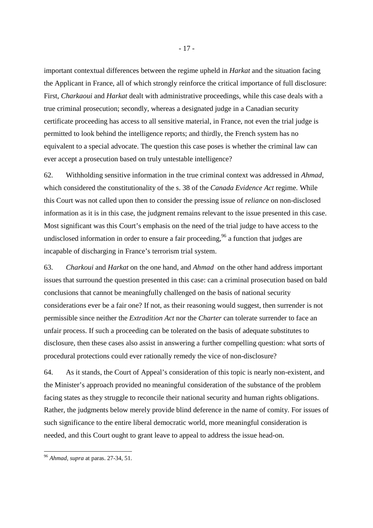important contextual differences between the regime upheld in *Harkat* and the situation facing the Applicant in France, all of which strongly reinforce the critical importance of full disclosure: First, *Charkaoui* and *Harkat* dealt with administrative proceedings, while this case deals with a true criminal prosecution; secondly, whereas a designated judge in a Canadian security certificate proceeding has access to all sensitive material, in France, not even the trial judge is permitted to look behind the intelligence reports; and thirdly, the French system has no equivalent to a special advocate. The question this case poses is whether the criminal law can ever accept a prosecution based on truly untestable intelligence?

62. Withholding sensitive information in the true criminal context was addressed in *Ahmad*, which considered the constitutionality of the s. 38 of the *Canada Evidence Act* regime. While this Court was not called upon then to consider the pressing issue of *reliance* on non-disclosed information as it is in this case, the judgment remains relevant to the issue presented in this case. Most significant was this Court's emphasis on the need of the trial judge to have access to the undisclosed information in order to ensure a fair proceeding,  $96$  a function that judges are incapable of discharging in France's terrorism trial system.

63. *Charkoui* and *Harkat* on the one hand, and *Ahmad* on the other hand address important issues that surround the question presented in this case: can a criminal prosecution based on bald conclusions that cannot be meaningfully challenged on the basis of national security considerations ever be a fair one? If not, as their reasoning would suggest, then surrender is not permissible since neither the *Extradition Act* nor the *Charter* can tolerate surrender to face an unfair process. If such a proceeding can be tolerated on the basis of adequate substitutes to disclosure, then these cases also assist in answering a further compelling question: what sorts of procedural protections could ever rationally remedy the vice of non-disclosure?

64. As it stands, the Court of Appeal's consideration of this topic is nearly non-existent, and the Minister's approach provided no meaningful consideration of the substance of the problem facing states as they struggle to reconcile their national security and human rights obligations. Rather, the judgments below merely provide blind deference in the name of comity. For issues of such significance to the entire liberal democratic world, more meaningful consideration is needed, and this Court ought to grant leave to appeal to address the issue head-on.

<sup>96</sup> *Ahmad, supra* at paras. 27-34, 51.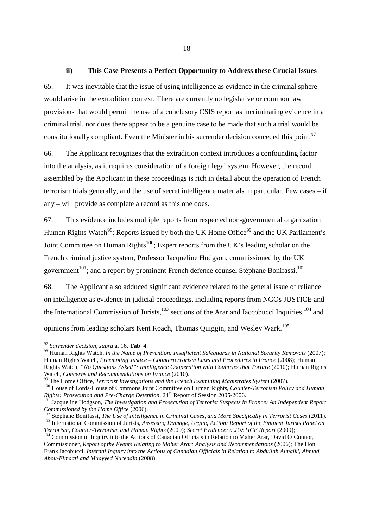#### **ii) This Case Presents a Perfect Opportunity to Address these Crucial Issues**

65. It was inevitable that the issue of using intelligence as evidence in the criminal sphere would arise in the extradition context. There are currently no legislative or common law provisions that would permit the use of a conclusory CSIS report as incriminating evidence in a criminal trial, nor does there appear to be a genuine case to be made that such a trial would be constitutionally compliant. Even the Minister in his surrender decision conceded this point.<sup>97</sup>

66. The Applicant recognizes that the extradition context introduces a confounding factor into the analysis, as it requires consideration of a foreign legal system. However, the record assembled by the Applicant in these proceedings is rich in detail about the operation of French terrorism trials generally, and the use of secret intelligence materials in particular. Few cases – if any – will provide as complete a record as this one does.

67. This evidence includes multiple reports from respected non-governmental organization Human Rights Watch<sup>98</sup>; Reports issued by both the UK Home Office<sup>99</sup> and the UK Parliament's Joint Committee on Human Rights<sup>100</sup>; Expert reports from the UK's leading scholar on the French criminal justice system, Professor Jacqueline Hodgson, commissioned by the UK government<sup>101</sup>; and a report by prominent French defence counsel Stéphane Bonifassi.<sup>102</sup>

68. The Applicant also adduced significant evidence related to the general issue of reliance on intelligence as evidence in judicial proceedings, including reports from NGOs JUSTICE and the International Commission of Jurists, $103$  sections of the Arar and Iaccobucci Inquiries, $104$  and opinions from leading scholars Kent Roach, Thomas Quiggin, and Wesley Wark.<sup>105</sup>

<sup>97</sup> *Surrender decision, supra* at 16, **Tab 4**.

<sup>&</sup>lt;sup>98</sup> Human Rights Watch, *In the Name of Prevention: Insufficient Safeguards in National Security Removals* (2007); Human Rights Watch, *Preempting Justice – Counterterrorism Laws and Procedures in France* (2008); Human Rights Watch, *"No Questions Asked": Intelligence Cooperation with Countries that Torture* (2010); Human Rights Watch, *Concerns and Recommendations on France* (2010).

<sup>99</sup> The Home Office, *Terrorist Investigations and the French Examining Magistrates System* (2007).

<sup>100</sup> House of Lords-House of Commons Joint Committee on Human Rights, *Counter-Terrorism Policy and Human Rights: Prosecution and Pre-Charge Detention*, 24<sup>th</sup> Report of Session 2005-2006.

<sup>101</sup> Jacqueline Hodgson, *The Investigation and Prosecution of Terrorist Suspects in France: An Independent Report Commissioned by the Home Office* (2006).

<sup>102</sup> Stéphane Bonifassi, *The Use of Intelligence in Criminal Cases, and More Specifically in Terrorist Cases* (2011). <sup>103</sup> International Commission of Jurists, *Assessing Damage, Urging Action: Report of the Eminent Jurists Panel on Terrorism, Counter-Terrorism and Human Rights* (2009); *Secret Evidence: a JUSTICE Report* (2009);

<sup>&</sup>lt;sup>104</sup> Commission of Inquiry into the Actions of Canadian Officials in Relation to Maher Arar, David O'Connor, Commissioner, *Report of the Events Relating to Maher Arar: Analysis and Recommendations* (2006); The Hon. Frank Iacobucci, *Internal Inquiry into the Actions of Canadian Officials in Relation to Abdullah Almalki, Ahmad Abou-Elmaati and Muayyed Nureddin* (2008).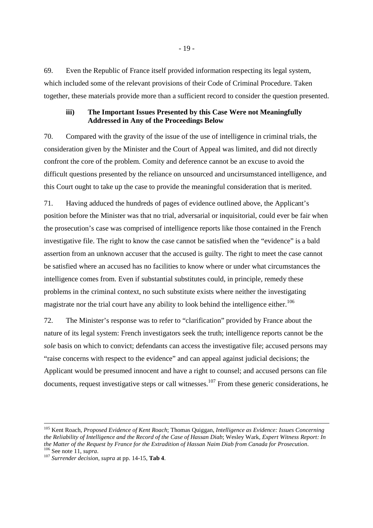69. Even the Republic of France itself provided information respecting its legal system, which included some of the relevant provisions of their Code of Criminal Procedure. Taken together, these materials provide more than a sufficient record to consider the question presented.

#### **iii) The Important Issues Presented by this Case Were not Meaningfully Addressed in Any of the Proceedings Below**

70. Compared with the gravity of the issue of the use of intelligence in criminal trials, the consideration given by the Minister and the Court of Appeal was limited, and did not directly confront the core of the problem. Comity and deference cannot be an excuse to avoid the difficult questions presented by the reliance on unsourced and uncirsumstanced intelligence, and this Court ought to take up the case to provide the meaningful consideration that is merited.

71. Having adduced the hundreds of pages of evidence outlined above, the Applicant's position before the Minister was that no trial, adversarial or inquisitorial, could ever be fair when the prosecution's case was comprised of intelligence reports like those contained in the French investigative file. The right to know the case cannot be satisfied when the "evidence" is a bald assertion from an unknown accuser that the accused is guilty. The right to meet the case cannot be satisfied where an accused has no facilities to know where or under what circumstances the intelligence comes from. Even if substantial substitutes could, in principle, remedy these problems in the criminal context, no such substitute exists where neither the investigating magistrate nor the trial court have any ability to look behind the intelligence either.<sup>106</sup>

72. The Minister's response was to refer to "clarification" provided by France about the nature of its legal system: French investigators seek the truth; intelligence reports cannot be the *sole* basis on which to convict; defendants can access the investigative file; accused persons may "raise concerns with respect to the evidence" and can appeal against judicial decisions; the Applicant would be presumed innocent and have a right to counsel; and accused persons can file documents, request investigative steps or call witnesses.<sup>107</sup> From these generic considerations, he

<sup>105</sup> Kent Roach, *Proposed Evidence of Kent Roach*; Thomas Quiggan, *Intelligence as Evidence: Issues Concerning the Reliability of Intelligence and the Record of the Case of Hassan Diab*; Wesley Wark*, Expert Witness Report: In the Matter of the Request by France for the Extradition of Hassan Naim Diab from Canada for Prosecution*. <sup>106</sup> See note 11, *supra*.

<sup>107</sup> *Surrender decision, supra* at pp. 14-15, **Tab 4**.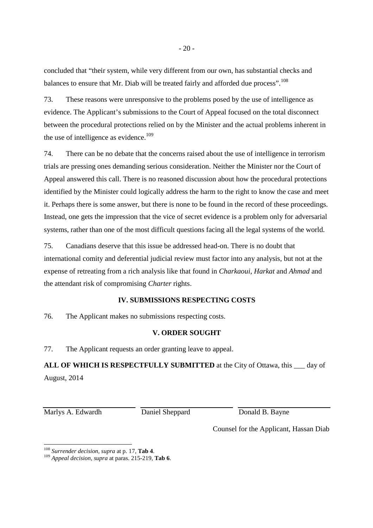concluded that "their system, while very different from our own, has substantial checks and balances to ensure that Mr. Diab will be treated fairly and afforded due process".<sup>108</sup>

73. These reasons were unresponsive to the problems posed by the use of intelligence as evidence. The Applicant's submissions to the Court of Appeal focused on the total disconnect between the procedural protections relied on by the Minister and the actual problems inherent in the use of intelligence as evidence.<sup>109</sup>

74. There can be no debate that the concerns raised about the use of intelligence in terrorism trials are pressing ones demanding serious consideration. Neither the Minister nor the Court of Appeal answered this call. There is no reasoned discussion about how the procedural protections identified by the Minister could logically address the harm to the right to know the case and meet it. Perhaps there is some answer, but there is none to be found in the record of these proceedings. Instead, one gets the impression that the vice of secret evidence is a problem only for adversarial systems, rather than one of the most difficult questions facing all the legal systems of the world.

75. Canadians deserve that this issue be addressed head-on. There is no doubt that international comity and deferential judicial review must factor into any analysis, but not at the expense of retreating from a rich analysis like that found in *Charkaoui*, *Harkat* and *Ahmad* and the attendant risk of compromising *Charter* rights.

## **IV. SUBMISSIONS RESPECTING COSTS**

76. The Applicant makes no submissions respecting costs.

# **V. ORDER SOUGHT**

77. The Applicant requests an order granting leave to appeal.

**ALL OF WHICH IS RESPECTFULLY SUBMITTED** at the City of Ottawa, this \_\_\_ day of August, 2014

Marlys A. Edwardh Daniel Sheppard Donald B. Bayne

<u>.</u>

Counsel for the Applicant, Hassan Diab

<sup>108</sup> *Surrender decision, supra* at p. 17, **Tab 4**.

<sup>109</sup> *Appeal decision, supra* at paras. 215-219, **Tab 6**.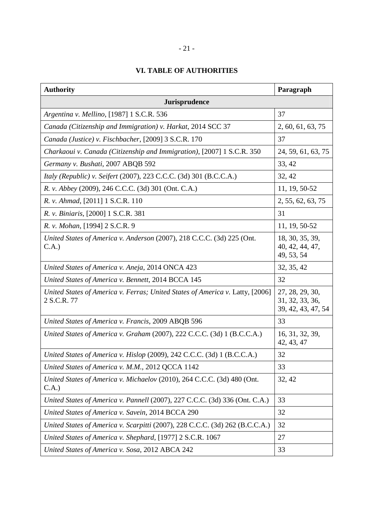# **VI. TABLE OF AUTHORITIES**

| <b>Authority</b>                                                                             | Paragraph                                                |  |
|----------------------------------------------------------------------------------------------|----------------------------------------------------------|--|
| Jurisprudence                                                                                |                                                          |  |
| Argentina v. Mellino, [1987] 1 S.C.R. 536                                                    | 37                                                       |  |
| Canada (Citizenship and Immigration) v. Harkat, 2014 SCC 37                                  | 2, 60, 61, 63, 75                                        |  |
| Canada (Justice) v. Fischbacher, [2009] 3 S.C.R. 170                                         | 37                                                       |  |
| Charkaoui v. Canada (Citizenship and Immigration), [2007] 1 S.C.R. 350                       | 24, 59, 61, 63, 75                                       |  |
| Germany v. Bushati, 2007 ABQB 592                                                            | 33, 42                                                   |  |
| <i>Italy (Republic) v. Seifert (2007), 223 C.C.C. (3d) 301 (B.C.C.A.)</i>                    | 32, 42                                                   |  |
| R. v. Abbey (2009), 246 C.C.C. (3d) 301 (Ont. C.A.)                                          | 11, 19, 50-52                                            |  |
| R. v. Ahmad, [2011] 1 S.C.R. 110                                                             | 2, 55, 62, 63, 75                                        |  |
| R. v. Biniaris, [2000] 1 S.C.R. 381                                                          | 31                                                       |  |
| R. v. Mohan, [1994] 2 S.C.R. 9                                                               | 11, 19, 50-52                                            |  |
| United States of America v. Anderson (2007), 218 C.C.C. (3d) 225 (Ont.<br>C.A.)              | 18, 30, 35, 39,<br>40, 42, 44, 47,<br>49, 53, 54         |  |
| United States of America v. Aneja, 2014 ONCA 423                                             | 32, 35, 42                                               |  |
| United States of America v. Bennett, 2014 BCCA 145                                           | 32                                                       |  |
| United States of America v. Ferras; United States of America v. Latty, [2006]<br>2 S.C.R. 77 | 27, 28, 29, 30,<br>31, 32, 33, 36,<br>39, 42, 43, 47, 54 |  |
| United States of America v. Francis, 2009 ABQB 596                                           | 33                                                       |  |
| United States of America v. Graham (2007), 222 C.C.C. (3d) 1 (B.C.C.A.)                      | 16, 31, 32, 39,<br>42, 43, 47                            |  |
| United States of America v. Hislop (2009), 242 C.C.C. (3d) 1 (B.C.C.A.)                      | 32                                                       |  |
| United States of America v. M.M., 2012 QCCA 1142                                             | 33                                                       |  |
| United States of America v. Michaelov (2010), 264 C.C.C. (3d) 480 (Ont.<br>C.A.)             | 32, 42                                                   |  |
| United States of America v. Pannell (2007), 227 C.C.C. (3d) 336 (Ont. C.A.)                  | 33                                                       |  |
| United States of America v. Savein, 2014 BCCA 290                                            | 32                                                       |  |
| United States of America v. Scarpitti (2007), 228 C.C.C. (3d) 262 (B.C.C.A.)                 | 32                                                       |  |
| United States of America v. Shephard, [1977] 2 S.C.R. 1067                                   | 27                                                       |  |
| United States of America v. Sosa, 2012 ABCA 242                                              | 33                                                       |  |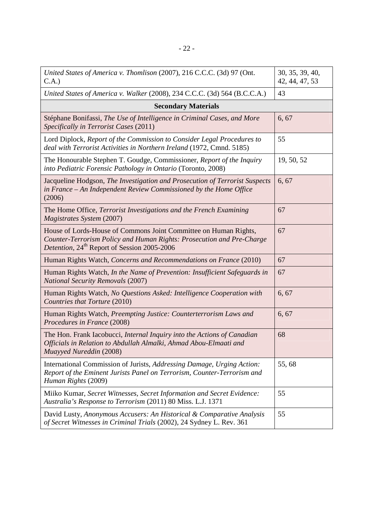| United States of America v. Thomlison (2007), 216 C.C.C. (3d) 97 (Ont.<br>C.A.)                                                                                                                      | 30, 35, 39, 40,<br>42, 44, 47, 53 |  |
|------------------------------------------------------------------------------------------------------------------------------------------------------------------------------------------------------|-----------------------------------|--|
| United States of America v. Walker (2008), 234 C.C.C. (3d) 564 (B.C.C.A.)                                                                                                                            | 43                                |  |
| <b>Secondary Materials</b>                                                                                                                                                                           |                                   |  |
| Stéphane Bonifassi, The Use of Intelligence in Criminal Cases, and More<br>Specifically in Terrorist Cases (2011)                                                                                    | 6, 67                             |  |
| Lord Diplock, Report of the Commission to Consider Legal Procedures to<br>deal with Terrorist Activities in Northern Ireland (1972, Cmnd. 5185)                                                      | 55                                |  |
| The Honourable Stephen T. Goudge, Commissioner, Report of the Inquiry<br>into Pediatric Forensic Pathology in Ontario (Toronto, 2008)                                                                | 19, 50, 52                        |  |
| Jacqueline Hodgson, The Investigation and Prosecution of Terrorist Suspects<br>in France - An Independent Review Commissioned by the Home Office<br>(2006)                                           | 6, 67                             |  |
| The Home Office, Terrorist Investigations and the French Examining<br>Magistrates System (2007)                                                                                                      | 67                                |  |
| House of Lords-House of Commons Joint Committee on Human Rights,<br>Counter-Terrorism Policy and Human Rights: Prosecution and Pre-Charge<br>Detention, 24 <sup>th</sup> Report of Session 2005-2006 | 67                                |  |
| Human Rights Watch, Concerns and Recommendations on France (2010)                                                                                                                                    | 67                                |  |
| Human Rights Watch, In the Name of Prevention: Insufficient Safeguards in<br><b>National Security Removals (2007)</b>                                                                                | 67                                |  |
| Human Rights Watch, No Questions Asked: Intelligence Cooperation with<br>Countries that Torture (2010)                                                                                               | 6, 67                             |  |
| Human Rights Watch, Preempting Justice: Counterterrorism Laws and<br>Procedures in France (2008)                                                                                                     | 6, 67                             |  |
| The Hon. Frank Iacobucci, Internal Inquiry into the Actions of Canadian<br>Officials in Relation to Abdullah Almalki, Ahmad Abou-Elmaati and<br>Muayyed Nureddin (2008)                              | 68                                |  |
| International Commission of Jurists, Addressing Damage, Urging Action:<br>Report of the Eminent Jurists Panel on Terrorism, Counter-Terrorism and<br>Human Rights (2009)                             | 55,68                             |  |
| Miiko Kumar, Secret Witnesses, Secret Information and Secret Evidence:<br>Australia's Response to Terrorism (2011) 80 Miss. L.J. 1371                                                                | 55                                |  |
| David Lusty, Anonymous Accusers: An Historical & Comparative Analysis<br>of Secret Witnesses in Criminal Trials (2002), 24 Sydney L. Rev. 361                                                        | 55                                |  |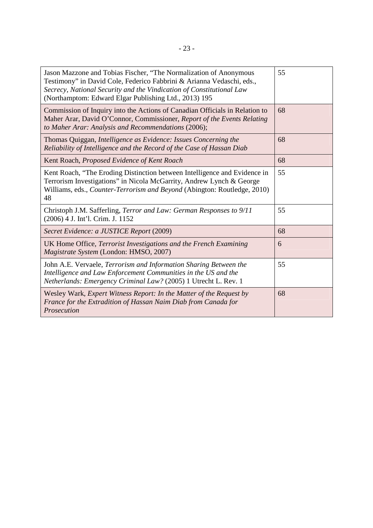| Jason Mazzone and Tobias Fischer, "The Normalization of Anonymous<br>Testimony" in David Cole, Federico Fabbrini & Arianna Vedaschi, eds.,<br>Secrecy, National Security and the Vindication of Constitutional Law<br>(Northamptom: Edward Elgar Publishing Ltd., 2013) 195 | 55 |
|-----------------------------------------------------------------------------------------------------------------------------------------------------------------------------------------------------------------------------------------------------------------------------|----|
| Commission of Inquiry into the Actions of Canadian Officials in Relation to<br>Maher Arar, David O'Connor, Commissioner, Report of the Events Relating<br>to Maher Arar: Analysis and Recommendations (2006);                                                               | 68 |
| Thomas Quiggan, Intelligence as Evidence: Issues Concerning the<br>Reliability of Intelligence and the Record of the Case of Hassan Diab                                                                                                                                    | 68 |
| Kent Roach, Proposed Evidence of Kent Roach                                                                                                                                                                                                                                 | 68 |
| Kent Roach, "The Eroding Distinction between Intelligence and Evidence in<br>Terrorism Investigations" in Nicola McGarrity, Andrew Lynch & George<br>Williams, eds., Counter-Terrorism and Beyond (Abington: Routledge, 2010)<br>48                                         | 55 |
| Christoph J.M. Safferling, Terror and Law: German Responses to 9/11<br>(2006) 4 J. Int'l. Crim. J. 1152                                                                                                                                                                     | 55 |
| Secret Evidence: a JUSTICE Report (2009)                                                                                                                                                                                                                                    | 68 |
| UK Home Office, Terrorist Investigations and the French Examining<br>Magistrate System (London: HMSO, 2007)                                                                                                                                                                 | 6  |
| John A.E. Vervaele, Terrorism and Information Sharing Between the<br>Intelligence and Law Enforcement Communities in the US and the<br>Netherlands: Emergency Criminal Law? (2005) 1 Utrecht L. Rev. 1                                                                      | 55 |
| Wesley Wark, Expert Witness Report: In the Matter of the Request by<br>France for the Extradition of Hassan Naim Diab from Canada for<br>Prosecution                                                                                                                        | 68 |